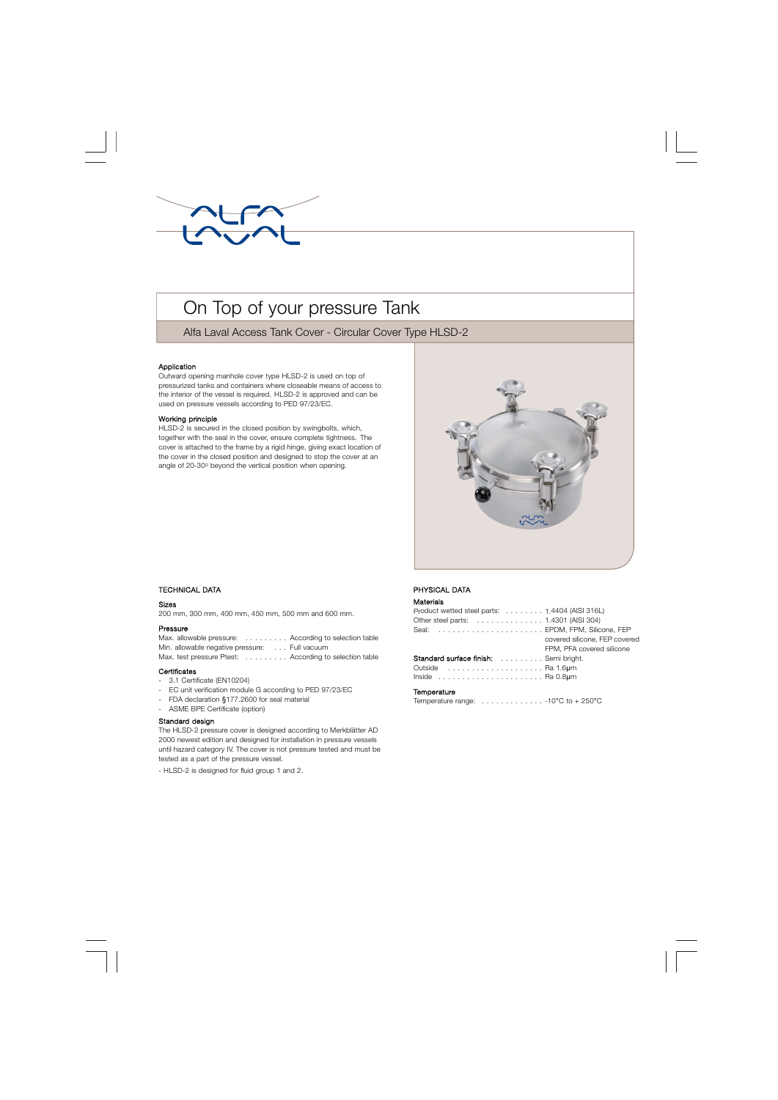

# On Top of your pressure Tank

Alfa Laval Access Tank Cover - Circular Cover Type HLSD-2

## Application

Outward opening manhole cover type HLSD-2 is used on top of pressurized tanks and containers where closeable means of access to the interior of the vessel is required. HLSD-2 is approved and can be used on pressure vessels according to PED 97/23/EC.

### Working principle

HLSD-2 is secured in the closed position by swingbolts, which, together with the seal in the cover, ensure complete tightness. The cover is attached to the frame by a rigid hinge, giving exact location of the cover in the closed position and designed to stop the cover at an angle of 20-30° beyond the vertical position when opening.



# . TECHNICAL DATA

#### Sizes

200 mm, 300 mm, 400 mm, 450 mm, 500 mm and 600 mm.

## Pressure

Max. allowable pressure: . . . . . . . . . According to selection table Min. allowable negative pressure: . . . Full vacuum Max. test pressure Ptest: . . . . . . . . . According to selection table

#### **Certificates**

- 3.1 Certificate (EN10204)
- EC unit verification module G according to PED 97/23/EC
- FDA declaration §177.2600 for seal material
- ASME BPE Certificate (option)

## Standard design

The HLSD-2 pressure cover is designed according to Merkblätter AD 2000 newest edition and designed for installation in pressure vessels until hazard category IV. The cover is not pressure tested and must be tested as a part of the pressure vessel.

- HLSD-2 is designed for fluid group 1 and 2.

# PHYSICAL DATA

#### Materials

| Product wetted steel parts: 1.4404 (AISI 316L)                       |  |
|----------------------------------------------------------------------|--|
| Other steel parts: 1.4301 (AISI 304)                                 |  |
| Seal:  EPDM, FPM, Silicone, FEP                                      |  |
| covered silicone. FEP covered                                        |  |
| FPM. PFA covered silicone                                            |  |
| Standard surface finish: Semi bright.                                |  |
| Outside  Ra 1.6um                                                    |  |
| Inside $\ldots \ldots \ldots \ldots \ldots \ldots \ldots$ . Ra 0.8um |  |
|                                                                      |  |

#### **Temperature**

Temperature range:  $\dots \dots \dots \dots \dots \cdot 10^{\circ}C$  to  $+250^{\circ}C$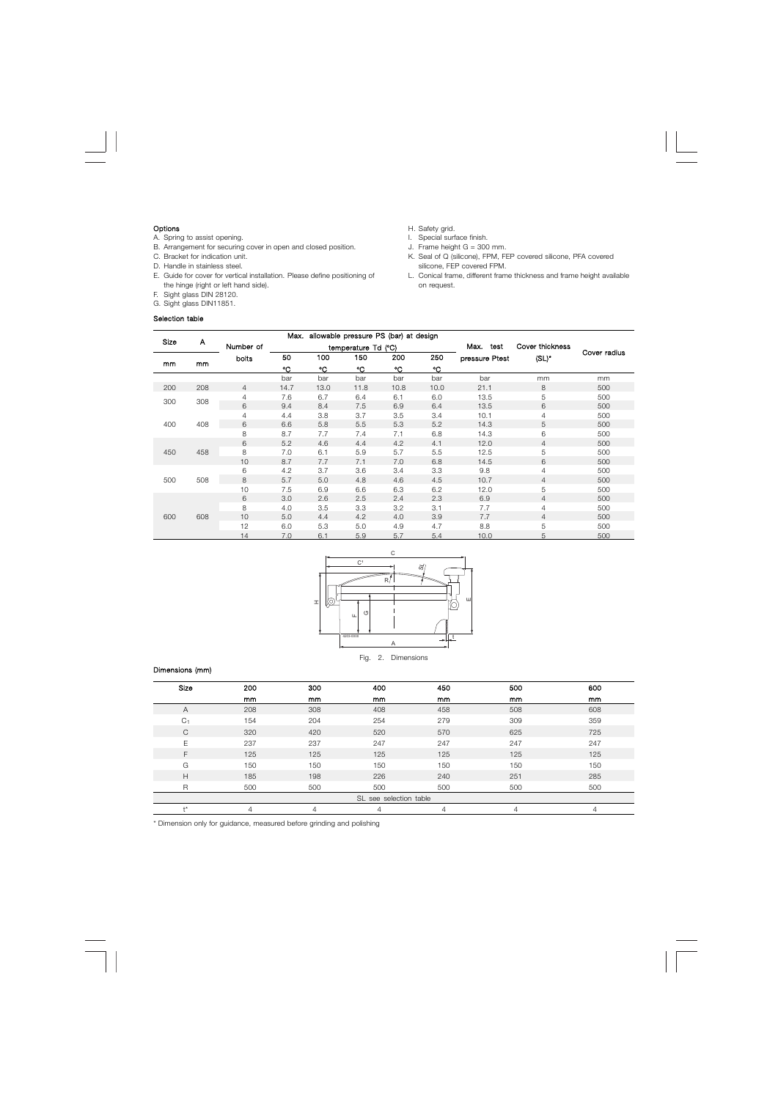## Options

- A. Spring to assist opening.
- B. Arrangement for securing cover in open and closed position.
- C. Bracket for indication unit.
- D. Handle in stainless steel.
- E. Guide for cover for vertical installation. Please define positioning of the hinge (right or left hand side).
- F. Sight glass DIN 28120.
- G. Sight glass DIN11851.

# Selection table

- H. Safety grid.
- I. Special surface finish.
- J. Frame height  $G = 300$  mm.
- K. Seal of Q (silicone), FPM, FEP covered silicone, PFA covered silicone, FEP covered FPM.
- L. Conical frame, different frame thickness and frame height available on request.

|      |     |                | Max.<br>allowable pressure PS (bar) at design |      |                |      |      |                |                 |              |      |   |     |
|------|-----|----------------|-----------------------------------------------|------|----------------|------|------|----------------|-----------------|--------------|------|---|-----|
| Size | A   | Number of      | temperature Td<br>(°C)                        |      |                |      |      | Max.<br>test   | Cover thickness |              |      |   |     |
| mm   | mm  | bolts          | 50                                            | 100  | 150            | 200  | 250  | pressure Ptest | $(SL)^*$        | Cover radius |      |   |     |
|      |     |                | °C                                            | °C   | °C             | °C   | °C   |                |                 |              |      |   |     |
|      |     |                | bar                                           | bar  | bar            | bar  | bar  | bar            | mm              | mm           |      |   |     |
| 200  | 208 | $\overline{4}$ | 14.7                                          | 13.0 | 11.8           | 10.8 | 10.0 | 21.1           | 8               | 500          |      |   |     |
| 300  | 308 |                |                                               |      | $\overline{4}$ | 7.6  | 6.7  | 6.4            | 6.1             | 6.0          | 13.5 | 5 | 500 |
|      |     |                | 6                                             | 9.4  | 8.4            | 7.5  | 6.9  | 6.4            | 13.5            | 6            | 500  |   |     |
| 400  | 408 |                | $\overline{4}$                                | 4.4  | 3.8            | 3.7  | 3.5  | 3.4            | 10.1            | 4            | 500  |   |     |
|      |     | 6              | 6.6                                           | 5.8  | 5.5            | 5.3  | 5.2  | 14.3           | 5               | 500          |      |   |     |
|      |     |                | 8                                             | 8.7  | 7.7            | 7.4  | 7.1  | 6.8            | 14.3            | 6            | 500  |   |     |
| 450  | 458 | 6              | 5.2                                           | 4.6  | 4.4            | 4.2  | 4.1  | 12.0           | $\overline{4}$  | 500          |      |   |     |
|      |     | 8              | 7.0                                           | 6.1  | 5.9            | 5.7  | 5.5  | 12.5           | 5               | 500          |      |   |     |
|      |     | 10             | 8.7                                           | 7.7  | 7.1            | 7.0  | 6.8  | 14.5           | 6               | 500          |      |   |     |
| 500  | 508 | 6              | 4.2                                           | 3.7  | 3.6            | 3.4  | 3.3  | 9.8            | $\overline{4}$  | 500          |      |   |     |
|      |     | 8              | 5.7                                           | 5.0  | 4.8            | 4.6  | 4.5  | 10.7           | 4               | 500          |      |   |     |
|      |     | 10             | 7.5                                           | 6.9  | 6.6            | 6.3  | 6.2  | 12.0           | 5               | 500          |      |   |     |
| 600  | 608 | 6              | 3.0                                           | 2.6  | 2.5            | 2.4  | 2.3  | 6.9            | $\overline{4}$  | 500          |      |   |     |
|      |     | 8              | 4.0                                           | 3.5  | 3.3            | 3.2  | 3.1  | 7.7            | 4               | 500          |      |   |     |
|      |     | 10             | 5.0                                           | 4.4  | 4.2            | 4.0  | 3.9  | 7.7            | $\overline{4}$  | 500          |      |   |     |
|      |     | 12             | 6.0                                           | 5.3  | 5.0            | 4.9  | 4.7  | 8.8            | 5               | 500          |      |   |     |
|      |     | 14             | 7.0                                           | 6.1  | 5.9            | 5.7  | 5.4  | 10.0           | 5               | 500          |      |   |     |



# Dimensions (mm)

| Size                   | 200 | 300 | 400 | 450 | 500 | 600 |  |  |
|------------------------|-----|-----|-----|-----|-----|-----|--|--|
|                        | mm  | mm  | mm  | mm  | mm  | mm  |  |  |
| Α                      | 208 | 308 | 408 | 458 | 508 | 608 |  |  |
| C <sub>1</sub>         | 154 | 204 | 254 | 279 | 309 | 359 |  |  |
| C                      | 320 | 420 | 520 | 570 | 625 | 725 |  |  |
| F                      | 237 | 237 | 247 | 247 | 247 | 247 |  |  |
| F                      | 125 | 125 | 125 | 125 | 125 | 125 |  |  |
| G                      | 150 | 150 | 150 | 150 | 150 | 150 |  |  |
| Н                      | 185 | 198 | 226 | 240 | 251 | 285 |  |  |
| R                      | 500 | 500 | 500 | 500 | 500 | 500 |  |  |
| SL see selection table |     |     |     |     |     |     |  |  |
| +*                     |     |     |     |     | 4   | 4   |  |  |

\* Dimension only for guidance, measured before grinding and polishing